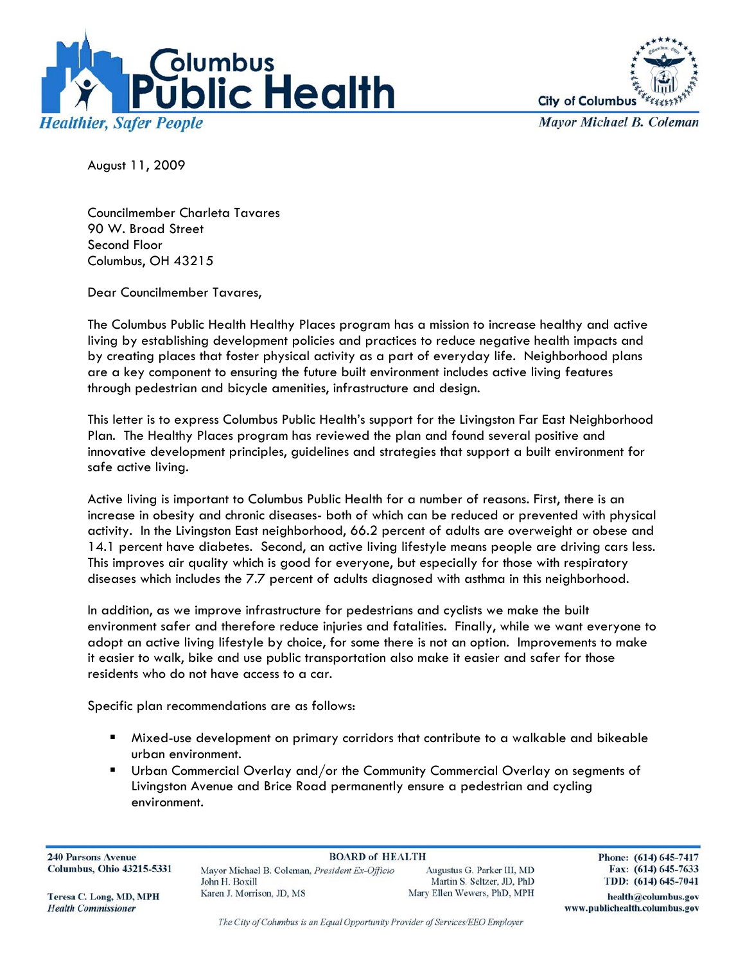



**Mayor Michael B. Coleman** 

August 11, 2009

Councilmember Charleta Tavares 90 W. Broad Street Second Floor Columbus, OH 43215

Dear Councilmember Tavares,

The Columbus Public Health Healthy Places program has a mission to increase healthy and active living by establishing development policies and practices to reduce negative health impacts and by creating places that foster physical activity as a part of everyday life. Neighborhood plans are a key component to ensuring the future built environment includes active living features through pedestrian and bicycle amenities, infrastructure and design.

This letter is to express Columbus Public Health's support for the Livingston Far East Neighborhood Plan. The Healthy Places program has reviewed the plan and found several positive and innovative development principles, guidelines and strategies that support a built environment for safe active living.

Active living is important to Columbus Public Health for a number of reasons. First, there is an increase in obesity and chronic diseases- both of which can be reduced or prevented with physical activity. In the Livingston East neighborhood, 66.2 percent of adults are overweight or obese and 14.1 percent have diabetes. Second, an active living lifestyle means people are driving cars less. This improves air quality which is good for everyone, but especially for those with respiratory diseases which includes the 7.7 percent of adults diagnosed with asthma in this neighborhood.

In addition, as we improve infrastructure for pedestrians and cyclists we make the built environment safer and therefore reduce injuries and fatalities. Finally, while we want everyone to adopt an active living lifestyle by choice, for some there is not an option. Improvements to make it easier to walk, bike and use public transportation also make it easier and safer for those residents who do not have access to a car.

Specific plan recommendations are as follows:

- Mixed-use development on primary corridors that contribute to a walkable and bikeable urban environment.
- Urban Commercial Overlay and/or the Community Commercial Overlay on segments of Livingston Avenue and Brice Road permanently ensure a pedestrian and cycling environment.

**240 Parsons Avenue Columbus, Ohio 43215-5331** 

**BOARD of HEALTH** Mayor Michael B. Coleman, President Ex-Officio John H Royill Karen J. Morrison, JD, MS

Augustus G. Parker III, MD Martin S. Seltzer, JD, PhD Mary Ellen Wewers, PhD, MPH Phone: (614) 645-7417 Fax: (614) 645-7633 TDD: (614) 645-7041

health@columbus.gov

www.publichealth.columbus.gov

Teresa C. Long, MD, MPH **Health Commissioner** 

The City of Columbus is an Equal Opportunity Provider of Services/EEO Employer